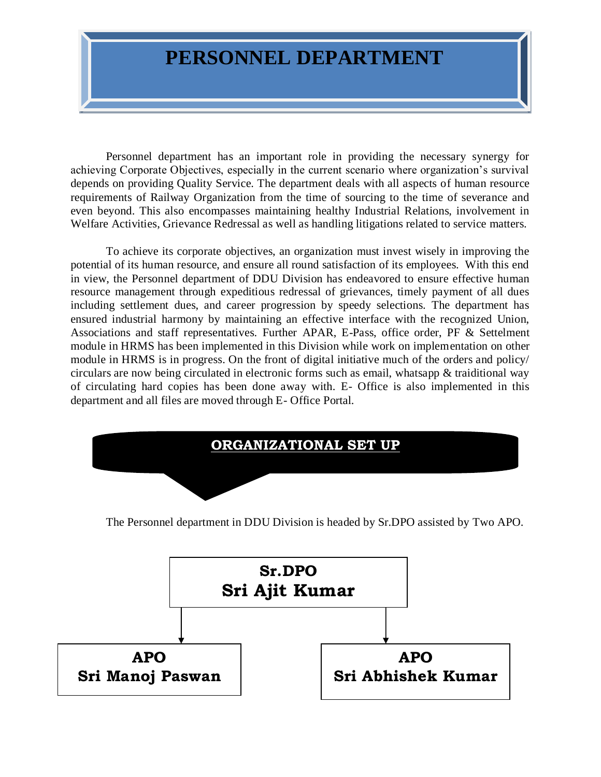## **PERSONNEL DEPARTMENT**

Personnel department has an important role in providing the necessary synergy for achieving Corporate Objectives, especially in the current scenario where organization's survival depends on providing Quality Service. The department deals with all aspects of human resource requirements of Railway Organization from the time of sourcing to the time of severance and even beyond. This also encompasses maintaining healthy Industrial Relations, involvement in Welfare Activities, Grievance Redressal as well as handling litigations related to service matters.

To achieve its corporate objectives, an organization must invest wisely in improving the potential of its human resource, and ensure all round satisfaction of its employees. With this end in view, the Personnel department of DDU Division has endeavored to ensure effective human resource management through expeditious redressal of grievances, timely payment of all dues including settlement dues, and career progression by speedy selections. The department has ensured industrial harmony by maintaining an effective interface with the recognized Union, Associations and staff representatives. Further APAR, E-Pass, office order, PF & Settelment module in HRMS has been implemented in this Division while work on implementation on other module in HRMS is in progress. On the front of digital initiative much of the orders and policy/ circulars are now being circulated in electronic forms such as email, whatsapp & traiditional way of circulating hard copies has been done away with. E- Office is also implemented in this department and all files are moved through E- Office Portal.